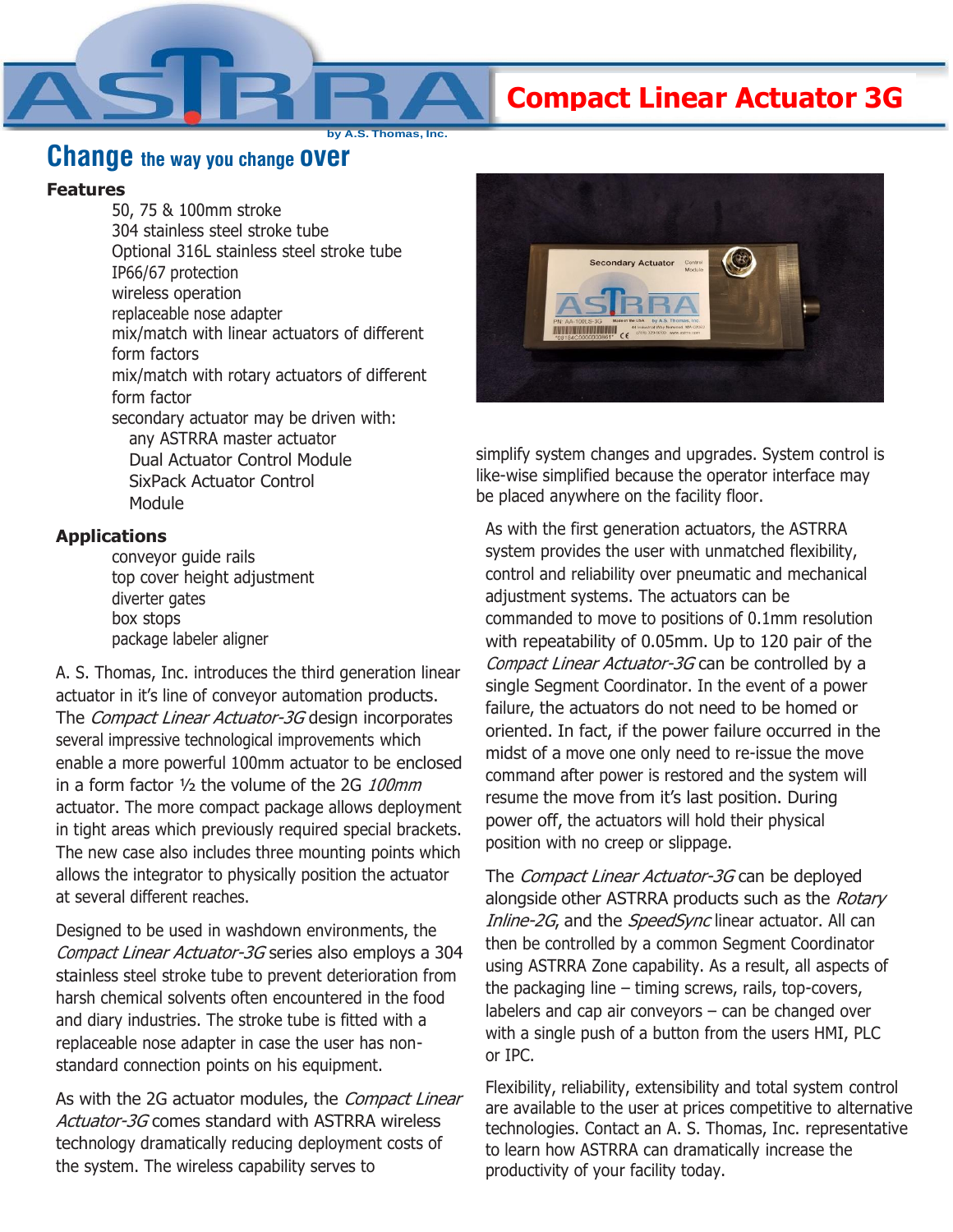**Compact Linear Actuator 3G**

**by A.S. Thomas, Inc.**

## **Change the way you change over**

## **Features**

50, 75 & 100mm stroke 304 stainless steel stroke tube Optional 316L stainless steel stroke tube IP66/67 protection wireless operation replaceable nose adapter mix/match with linear actuators of different form factors mix/match with rotary actuators of different form factor secondary actuator may be driven with: any ASTRRA master actuator Dual Actuator Control Module SixPack Actuator Control Module

## **Applications**

conveyor guide rails top cover height adjustment diverter gates box stops package labeler aligner

A. S. Thomas, Inc. introduces the third generation linear actuator in it's line of conveyor automation products. The Compact Linear Actuator-3G design incorporates several impressive technological improvements which enable a more powerful 100mm actuator to be enclosed in a form factor ½ the volume of the 2G 100mm actuator. The more compact package allows deployment in tight areas which previously required special brackets. The new case also includes three mounting points which allows the integrator to physically position the actuator at several different reaches.

Designed to be used in washdown environments, the Compact Linear Actuator-3G series also employs a 304 stainless steel stroke tube to prevent deterioration from harsh chemical solvents often encountered in the food and diary industries. The stroke tube is fitted with a replaceable nose adapter in case the user has nonstandard connection points on his equipment.

As with the 2G actuator modules, the *Compact Linear* Actuator-3G comes standard with ASTRRA wireless technology dramatically reducing deployment costs of the system. The wireless capability serves to



simplify system changes and upgrades. System control is like-wise simplified because the operator interface may be placed anywhere on the facility floor.

As with the first generation actuators, the ASTRRA system provides the user with unmatched flexibility, control and reliability over pneumatic and mechanical adjustment systems. The actuators can be commanded to move to positions of 0.1mm resolution with repeatability of 0.05mm. Up to 120 pair of the Compact Linear Actuator-3G can be controlled by a single Segment Coordinator. In the event of a power failure, the actuators do not need to be homed or oriented. In fact, if the power failure occurred in the midst of a move one only need to re-issue the move command after power is restored and the system will resume the move from it's last position. During power off, the actuators will hold their physical position with no creep or slippage.

The *Compact Linear Actuator-3G* can be deployed alongside other ASTRRA products such as the Rotary Inline-2G, and the SpeedSync linear actuator. All can then be controlled by a common Segment Coordinator using ASTRRA Zone capability. As a result, all aspects of the packaging line – timing screws, rails, top-covers, labelers and cap air conveyors – can be changed over with a single push of a button from the users HMI, PLC or IPC.

Flexibility, reliability, extensibility and total system control are available to the user at prices competitive to alternative technologies. Contact an A. S. Thomas, Inc. representative to learn how ASTRRA can dramatically increase the productivity of your facility today.